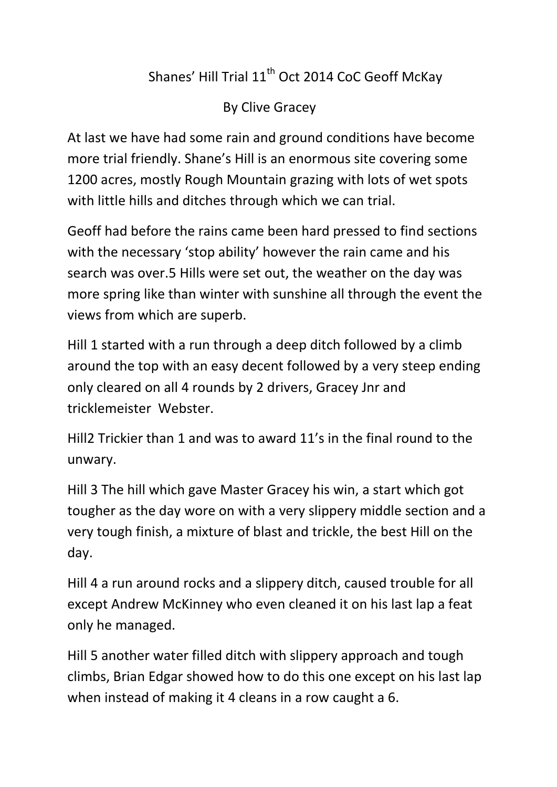## Shanes' Hill Trial 11<sup>th</sup> Oct 2014 CoC Geoff McKav

By Clive Gracey

At last we have had some rain and ground conditions have become more trial friendly. Shane's Hill is an enormous site covering some 1200 acres, mostly Rough Mountain grazing with lots of wet spots with little hills and ditches through which we can trial.

Geoff had before the rains came been hard pressed to find sections with the necessary 'stop ability' however the rain came and his search was over.5 Hills were set out, the weather on the day was more spring like than winter with sunshine all through the event the views from which are superb.

Hill 1 started with a run through a deep ditch followed by a climb around the top with an easy decent followed by a very steep ending only cleared on all 4 rounds by 2 drivers, Gracey Jnr and tricklemeister Webster.

Hill2 Trickier than 1 and was to award 11's in the final round to the unwary.

Hill 3 The hill which gave Master Gracey his win, a start which got tougher as the day wore on with a very slippery middle section and a very tough finish, a mixture of blast and trickle, the best Hill on the day.

Hill 4 a run around rocks and a slippery ditch, caused trouble for all except Andrew McKinney who even cleaned it on his last lap a feat only he managed.

Hill 5 another water filled ditch with slippery approach and tough climbs, Brian Edgar showed how to do this one except on his last lap when instead of making it 4 cleans in a row caught a 6.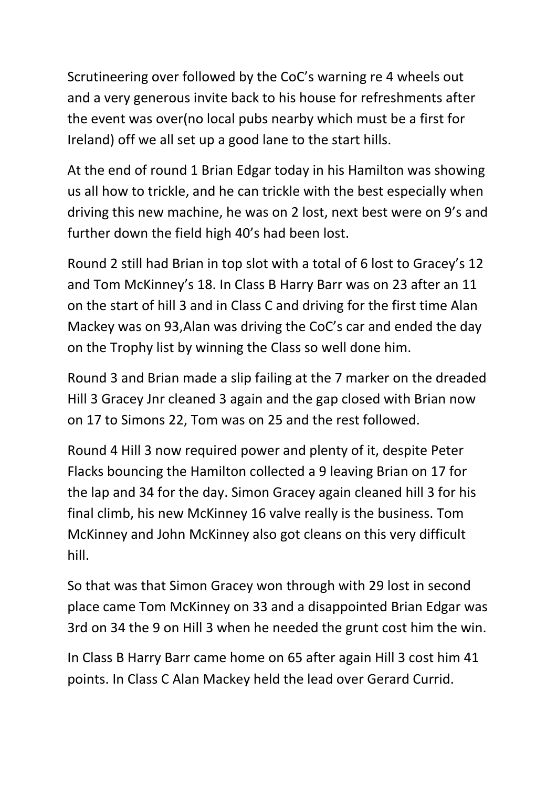Scrutineering over followed by the CoC's warning re 4 wheels out and a very generous invite back to his house for refreshments after the event was over(no local pubs nearby which must be a first for Ireland) off we all set up a good lane to the start hills.

At the end of round 1 Brian Edgar today in his Hamilton was showing us all how to trickle, and he can trickle with the best especially when driving this new machine, he was on 2 lost, next best were on 9's and further down the field high 40's had been lost.

Round 2 still had Brian in top slot with a total of 6 lost to Gracey's 12 and Tom McKinney's 18. In Class B Harry Barr was on 23 after an 11 on the start of hill 3 and in Class C and driving for the first time Alan Mackey was on 93,Alan was driving the CoC's car and ended the day on the Trophy list by winning the Class so well done him.

Round 3 and Brian made a slip failing at the 7 marker on the dreaded Hill 3 Gracey Jnr cleaned 3 again and the gap closed with Brian now on 17 to Simons 22, Tom was on 25 and the rest followed.

Round 4 Hill 3 now required power and plenty of it, despite Peter Flacks bouncing the Hamilton collected a 9 leaving Brian on 17 for the lap and 34 for the day. Simon Gracey again cleaned hill 3 for his final climb, his new McKinney 16 valve really is the business. Tom McKinney and John McKinney also got cleans on this very difficult hill.

So that was that Simon Gracey won through with 29 lost in second place came Tom McKinney on 33 and a disappointed Brian Edgar was 3rd on 34 the 9 on Hill 3 when he needed the grunt cost him the win.

In Class B Harry Barr came home on 65 after again Hill 3 cost him 41 points. In Class C Alan Mackey held the lead over Gerard Currid.